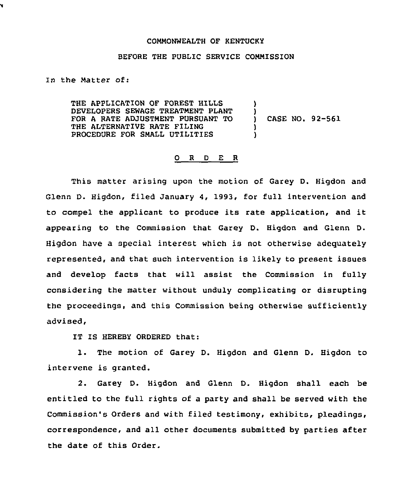## COMMONWEALTH OF KENTUCKY

## BEFORE THE PUBLIC SERVICE COMMISSION

In the Matter of:

¥

THE APPLICATION OF FOREST HILLS DEVELOPERS SEWAGE TREATMENT PLANT FOR A RATE ADJUSTMENT PURSUANT TO THE ALTERNATIVE RATE FILING PROCEDURE FOR SMALL UTILITIES ) )<br>) ) )

) CASE NO. 92-561

## 0 <sup>R</sup> <sup>D</sup> E <sup>R</sup>

This matter arising upon the motion of Garey D. Higdon and Glenn D. Higdon, filed January 4, 1993, for full intervention and to compel the applicant to produce its rate application, and it appearing to the Commission that Garey D. Higdon and Glenn D. Higdon have a special interest which is not otherwise adequately represented, and that such intervention is likely to present issues and develop facts that will assist the Commission in fully considering the matter without unduly complicating or disrupting the proceedings, and this Commission being otherwise sufficiently advised,

IT IS HEREBY ORDERED that:

1. The motion of Garey D. Higdon and Glenn D. Higdon to intervene is granted.

2. Garey D. Higdon and Glenn D. Higdon shall each be entitled to the full rights of a party and shall be served with the Commission's Orders and with filed testimony, exhibits, pleadings, correspondence, and all other documents submitted by parties after the date of this Order.